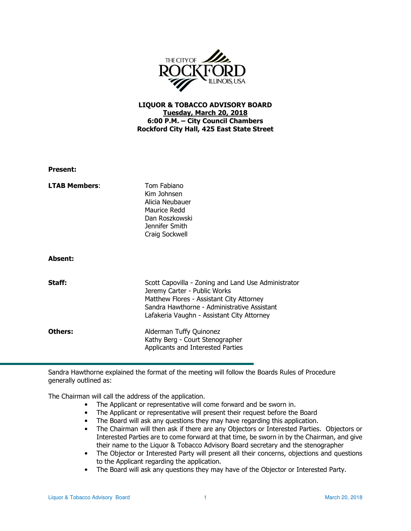

## LIQUOR & TOBACCO ADVISORY BOARD Tuesday, March 20, 2018 6:00 P.M. – City Council Chambers Rockford City Hall, 425 East State Street

| <b>Present:</b>      |                                                                                                                                                                                                                              |
|----------------------|------------------------------------------------------------------------------------------------------------------------------------------------------------------------------------------------------------------------------|
| <b>LTAB Members:</b> | Tom Fabiano<br>Kim Johnsen<br>Alicia Neubauer<br>Maurice Redd<br>Dan Roszkowski<br>Jennifer Smith<br>Craig Sockwell                                                                                                          |
| <b>Absent:</b>       |                                                                                                                                                                                                                              |
| Staff:               | Scott Capovilla - Zoning and Land Use Administrator<br>Jeremy Carter - Public Works<br>Matthew Flores - Assistant City Attorney<br>Sandra Hawthorne - Administrative Assistant<br>Lafakeria Vaughn - Assistant City Attorney |
| Others:              | Alderman Tuffy Quinonez<br>Kathy Berg - Court Stenographer<br>Applicants and Interested Parties                                                                                                                              |

Sandra Hawthorne explained the format of the meeting will follow the Boards Rules of Procedure generally outlined as:

The Chairman will call the address of the application.

- The Applicant or representative will come forward and be sworn in.
- The Applicant or representative will present their request before the Board
- The Board will ask any questions they may have regarding this application.
- The Chairman will then ask if there are any Objectors or Interested Parties. Objectors or Interested Parties are to come forward at that time, be sworn in by the Chairman, and give their name to the Liquor & Tobacco Advisory Board secretary and the stenographer
- The Objector or Interested Party will present all their concerns, objections and questions to the Applicant regarding the application.
- The Board will ask any questions they may have of the Objector or Interested Party.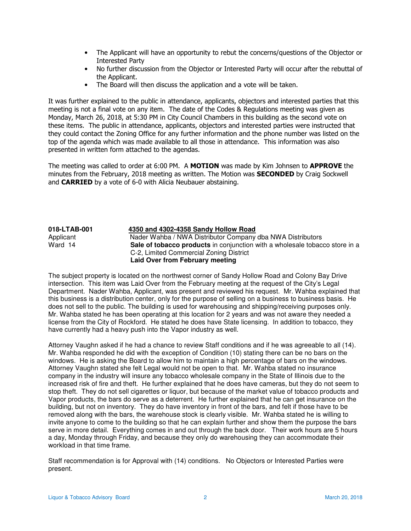- The Applicant will have an opportunity to rebut the concerns/questions of the Objector or Interested Party
- No further discussion from the Objector or Interested Party will occur after the rebuttal of the Applicant.
- The Board will then discuss the application and a vote will be taken.

It was further explained to the public in attendance, applicants, objectors and interested parties that this meeting is not a final vote on any item. The date of the Codes & Regulations meeting was given as Monday, March 26, 2018, at 5:30 PM in City Council Chambers in this building as the second vote on these items. The public in attendance, applicants, objectors and interested parties were instructed that they could contact the Zoning Office for any further information and the phone number was listed on the top of the agenda which was made available to all those in attendance. This information was also presented in written form attached to the agendas.

The meeting was called to order at 6:00 PM. A MOTION was made by Kim Johnsen to APPROVE the minutes from the February, 2018 meeting as written. The Motion was **SECONDED** by Craig Sockwell and CARRIED by a vote of 6-0 with Alicia Neubauer abstaining.

| 018-LTAB-001 | 4350 and 4302-4358 Sandy Hollow Road                                        |
|--------------|-----------------------------------------------------------------------------|
| Applicant    | Nader Wahba / NWA Distributor Company dba NWA Distributors                  |
| Ward 14      | Sale of tobacco products in conjunction with a wholesale tobacco store in a |
|              | C-2, Limited Commercial Zoning District                                     |
|              | Laid Over from February meeting                                             |

The subject property is located on the northwest corner of Sandy Hollow Road and Colony Bay Drive intersection. This item was Laid Over from the February meeting at the request of the City's Legal Department. Nader Wahba, Applicant, was present and reviewed his request. Mr. Wahba explained that this business is a distribution center, only for the purpose of selling on a business to business basis. He does not sell to the public. The building is used for warehousing and shipping/receiving purposes only. Mr. Wahba stated he has been operating at this location for 2 years and was not aware they needed a license from the City of Rockford. He stated he does have State licensing. In addition to tobacco, they have currently had a heavy push into the Vapor industry as well.

Attorney Vaughn asked if he had a chance to review Staff conditions and if he was agreeable to all (14). Mr. Wahba responded he did with the exception of Condition (10) stating there can be no bars on the windows. He is asking the Board to allow him to maintain a high percentage of bars on the windows. Attorney Vaughn stated she felt Legal would not be open to that. Mr. Wahba stated no insurance company in the industry will insure any tobacco wholesale company in the State of Illinois due to the increased risk of fire and theft. He further explained that he does have cameras, but they do not seem to stop theft. They do not sell cigarettes or liquor, but because of the market value of tobacco products and Vapor products, the bars do serve as a deterrent. He further explained that he can get insurance on the building, but not on inventory. They do have inventory in front of the bars, and felt if those have to be removed along with the bars, the warehouse stock is clearly visible. Mr. Wahba stated he is willing to invite anyone to come to the building so that he can explain further and show them the purpose the bars serve in more detail. Everything comes in and out through the back door. Their work hours are 5 hours a day, Monday through Friday, and because they only do warehousing they can accommodate their workload in that time frame.

Staff recommendation is for Approval with (14) conditions. No Objectors or Interested Parties were present.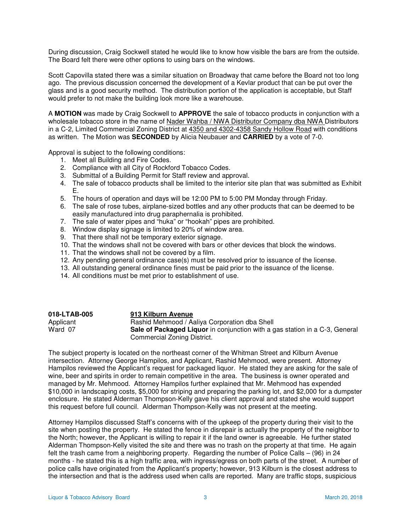During discussion, Craig Sockwell stated he would like to know how visible the bars are from the outside. The Board felt there were other options to using bars on the windows.

Scott Capovilla stated there was a similar situation on Broadway that came before the Board not too long ago. The previous discussion concerned the development of a Kevlar product that can be put over the glass and is a good security method. The distribution portion of the application is acceptable, but Staff would prefer to not make the building look more like a warehouse.

A **MOTION** was made by Craig Sockwell to **APPROVE** the sale of tobacco products in conjunction with a wholesale tobacco store in the name of Nader Wahba / NWA Distributor Company dba NWA Distributors in a C-2, Limited Commercial Zoning District at 4350 and 4302-4358 Sandy Hollow Road with conditions as written. The Motion was **SECONDED** by Alicia Neubauer and **CARRIED** by a vote of 7-0.

Approval is subject to the following conditions:

- 1. Meet all Building and Fire Codes.
- 2. Compliance with all City of Rockford Tobacco Codes.
- 3. Submittal of a Building Permit for Staff review and approval.
- 4. The sale of tobacco products shall be limited to the interior site plan that was submitted as Exhibit E.
- 5. The hours of operation and days will be 12:00 PM to 5:00 PM Monday through Friday.
- 6. The sale of rose tubes, airplane-sized bottles and any other products that can be deemed to be easily manufactured into drug paraphernalia is prohibited.
- 7. The sale of water pipes and "huka" or "hookah" pipes are prohibited.
- 8. Window display signage is limited to 20% of window area.
- 9. That there shall not be temporary exterior signage.
- 10. That the windows shall not be covered with bars or other devices that block the windows.
- 11. That the windows shall not be covered by a film.
- 12. Any pending general ordinance case(s) must be resolved prior to issuance of the license.
- 13. All outstanding general ordinance fines must be paid prior to the issuance of the license.
- 14. All conditions must be met prior to establishment of use.

| 018-LTAB-005 | 913 Kilburn Avenue                                                                 |
|--------------|------------------------------------------------------------------------------------|
| Applicant    | Rashid Mehmood / Aaliya Corporation dba Shell                                      |
| Ward 07      | <b>Sale of Packaged Liquor</b> in conjunction with a gas station in a C-3, General |
|              | Commercial Zoning District.                                                        |

The subject property is located on the northeast corner of the Whitman Street and Kilburn Avenue intersection. Attorney George Hampilos, and Applicant, Rashid Mehmood, were present. Attorney Hampilos reviewed the Applicant's request for packaged liquor. He stated they are asking for the sale of wine, beer and spirits in order to remain competitive in the area. The business is owner operated and managed by Mr. Mehmood. Attorney Hampilos further explained that Mr. Mehmood has expended \$10,000 in landscaping costs, \$5,000 for striping and preparing the parking lot, and \$2,000 for a dumpster enclosure. He stated Alderman Thompson-Kelly gave his client approval and stated she would support this request before full council. Alderman Thompson-Kelly was not present at the meeting.

Attorney Hampilos discussed Staff's concerns with of the upkeep of the property during their visit to the site when posting the property. He stated the fence in disrepair is actually the property of the neighbor to the North; however, the Applicant is willing to repair it if the land owner is agreeable. He further stated Alderman Thompson-Kelly visited the site and there was no trash on the property at that time. He again felt the trash came from a neighboring property. Regarding the number of Police Calls – (96) in 24 months - he stated this is a high traffic area, with ingress/egress on both parts of the street. A number of police calls have originated from the Applicant's property; however, 913 Kilburn is the closest address to the intersection and that is the address used when calls are reported. Many are traffic stops, suspicious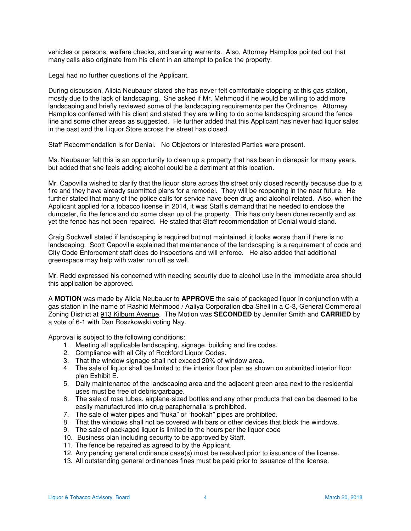vehicles or persons, welfare checks, and serving warrants. Also, Attorney Hampilos pointed out that many calls also originate from his client in an attempt to police the property.

Legal had no further questions of the Applicant.

During discussion, Alicia Neubauer stated she has never felt comfortable stopping at this gas station, mostly due to the lack of landscaping. She asked if Mr. Mehmood if he would be willing to add more landscaping and briefly reviewed some of the landscaping requirements per the Ordinance. Attorney Hampilos conferred with his client and stated they are willing to do some landscaping around the fence line and some other areas as suggested. He further added that this Applicant has never had liquor sales in the past and the Liquor Store across the street has closed.

Staff Recommendation is for Denial. No Objectors or Interested Parties were present.

Ms. Neubauer felt this is an opportunity to clean up a property that has been in disrepair for many years, but added that she feels adding alcohol could be a detriment at this location.

Mr. Capovilla wished to clarify that the liquor store across the street only closed recently because due to a fire and they have already submitted plans for a remodel. They will be reopening in the near future. He further stated that many of the police calls for service have been drug and alcohol related. Also, when the Applicant applied for a tobacco license in 2014, it was Staff's demand that he needed to enclose the dumpster, fix the fence and do some clean up of the property. This has only been done recently and as yet the fence has not been repaired. He stated that Staff recommendation of Denial would stand.

Craig Sockwell stated if landscaping is required but not maintained, it looks worse than if there is no landscaping. Scott Capovilla explained that maintenance of the landscaping is a requirement of code and City Code Enforcement staff does do inspections and will enforce. He also added that additional greenspace may help with water run off as well.

Mr. Redd expressed his concerned with needing security due to alcohol use in the immediate area should this application be approved.

A **MOTION** was made by Alicia Neubauer to **APPROVE** the sale of packaged liquor in conjunction with a gas station in the name of Rashid Mehmood / Aaliya Corporation dba Shell in a C-3, General Commercial Zoning District at 913 Kilburn Avenue. The Motion was **SECONDED** by Jennifer Smith and **CARRIED** by a vote of 6-1 with Dan Roszkowski voting Nay.

Approval is subject to the following conditions:

- 1. Meeting all applicable landscaping, signage, building and fire codes.
- 2. Compliance with all City of Rockford Liquor Codes.
- 3. That the window signage shall not exceed 20% of window area.
- 4. The sale of liquor shall be limited to the interior floor plan as shown on submitted interior floor plan Exhibit E.
- 5. Daily maintenance of the landscaping area and the adjacent green area next to the residential uses must be free of debris/garbage.
- 6. The sale of rose tubes, airplane-sized bottles and any other products that can be deemed to be easily manufactured into drug paraphernalia is prohibited.
- 7. The sale of water pipes and "huka" or "hookah" pipes are prohibited.
- 8. That the windows shall not be covered with bars or other devices that block the windows.
- 9. The sale of packaged liquor is limited to the hours per the liquor code
- 10. Business plan including security to be approved by Staff.
- 11. The fence be repaired as agreed to by the Applicant.
- 12. Any pending general ordinance case(s) must be resolved prior to issuance of the license.
- 13. All outstanding general ordinances fines must be paid prior to issuance of the license.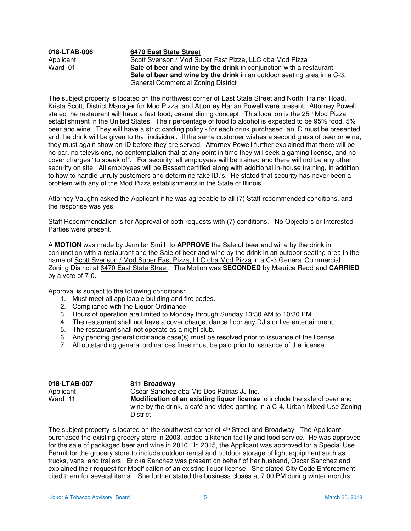| 018-LTAB-006 | 6470 East State Street                                                         |
|--------------|--------------------------------------------------------------------------------|
| Applicant    | Scott Svenson / Mod Super Fast Pizza, LLC dba Mod Pizza                        |
| Ward 01      | Sale of beer and wine by the drink in conjunction with a restaurant            |
|              | <b>Sale of beer and wine by the drink</b> in an outdoor seating area in a C-3, |
|              | General Commercial Zoning District                                             |

The subject property is located on the northwest corner of East State Street and North Trainer Road. Krista Scott, District Manager for Mod Pizza, and Attorney Harlan Powell were present. Attorney Powell stated the restaurant will have a fast food, casual dining concept. This location is the 25<sup>th</sup> Mod Pizza establishment in the United States. Their percentage of food to alcohol is expected to be 95% food, 5% beer and wine. They will have a strict carding policy - for each drink purchased, an ID must be presented and the drink will be given to that individual. If the same customer wishes a second glass of beer or wine, they must again show an ID before they are served. Attorney Powell further explained that there will be no bar, no televisions, no contemplation that at any point in time they will seek a gaming license, and no cover charges "to speak of". For security, all employees will be trained and there will not be any other security on site. All employees will be Bassett certified along with additional in-house training, in addition to how to handle unruly customers and determine fake ID.'s. He stated that security has never been a problem with any of the Mod Pizza establishments in the State of Illinois.

Attorney Vaughn asked the Applicant if he was agreeable to all (7) Staff recommended conditions, and the response was yes.

Staff Recommendation is for Approval of both requests with (7) conditions. No Objectors or Interested Parties were present.

A **MOTION** was made by Jennifer Smith to **APPROVE** the Sale of beer and wine by the drink in conjunction with a restaurant and the Sale of beer and wine by the drink in an outdoor seating area in the name of Scott Svenson / Mod Super Fast Pizza, LLC dba Mod Pizza in a C-3 General Commercial Zoning District at 6470 East State Street. The Motion was **SECONDED** by Maurice Redd and **CARRIED** by a vote of 7-0.

Approval is subject to the following conditions:

- 1. Must meet all applicable building and fire codes.
- 2. Compliance with the Liquor Ordinance.
- 3. Hours of operation are limited to Monday through Sunday 10:30 AM to 10:30 PM.
- 4. The restaurant shall not have a cover charge, dance floor any DJ's or live entertainment.
- 5. The restaurant shall not operate as a night club.
- 6. Any pending general ordinance case(s) must be resolved prior to issuance of the license.
- 7. All outstanding general ordinances fines must be paid prior to issuance of the license.

| 018-LTAB-007 | 811 Broadway                                                                      |
|--------------|-----------------------------------------------------------------------------------|
| Applicant    | Oscar Sanchez dba Mis Dos Patrias JJ Inc.                                         |
| Ward 11      | <b>Modification of an existing liguor license</b> to include the sale of beer and |
|              | wine by the drink, a café and video gaming in a C-4, Urban Mixed-Use Zoning       |
|              | District                                                                          |

The subject property is located on the southwest corner of  $4<sup>th</sup>$  Street and Broadway. The Applicant purchased the existing grocery store in 2003, added a kitchen facility and food service. He was approved for the sale of packaged beer and wine in 2010. In 2015, the Applicant was approved for a Special Use Permit for the grocery store to include outdoor rental and outdoor storage of light equipment such as trucks, vans, and trailers. Ericka Sanchez was present on behalf of her husband, Oscar Sanchez and explained their request for Modification of an existing liquor license. She stated City Code Enforcement cited them for several items. She further stated the business closes at 7:00 PM during winter months.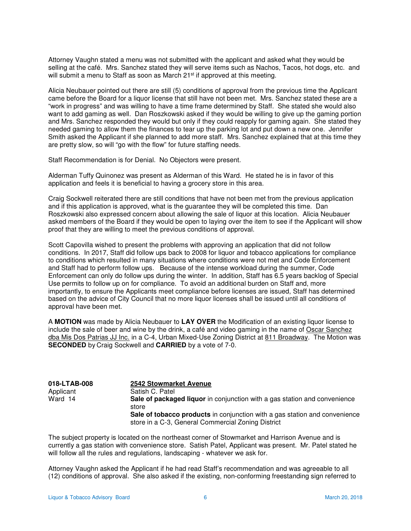Attorney Vaughn stated a menu was not submitted with the applicant and asked what they would be selling at the café. Mrs. Sanchez stated they will serve items such as Nachos, Tacos, hot dogs, etc. and will submit a menu to Staff as soon as March 21<sup>st</sup> if approved at this meeting.

Alicia Neubauer pointed out there are still (5) conditions of approval from the previous time the Applicant came before the Board for a liquor license that still have not been met. Mrs. Sanchez stated these are a "work in progress" and was willing to have a time frame determined by Staff. She stated she would also want to add gaming as well. Dan Roszkowski asked if they would be willing to give up the gaming portion and Mrs. Sanchez responded they would but only if they could reapply for gaming again. She stated they needed gaming to allow them the finances to tear up the parking lot and put down a new one. Jennifer Smith asked the Applicant if she planned to add more staff. Mrs. Sanchez explained that at this time they are pretty slow, so will "go with the flow" for future staffing needs.

Staff Recommendation is for Denial. No Objectors were present.

Alderman Tuffy Quinonez was present as Alderman of this Ward. He stated he is in favor of this application and feels it is beneficial to having a grocery store in this area.

Craig Sockwell reiterated there are still conditions that have not been met from the previous application and if this application is approved, what is the guarantee they will be completed this time. Dan Roszkowski also expressed concern about allowing the sale of liquor at this location. Alicia Neubauer asked members of the Board if they would be open to laying over the item to see if the Applicant will show proof that they are willing to meet the previous conditions of approval.

Scott Capovilla wished to present the problems with approving an application that did not follow conditions. In 2017, Staff did follow ups back to 2008 for liquor and tobacco applications for compliance to conditions which resulted in many situations where conditions were not met and Code Enforcement and Staff had to perform follow ups. Because of the intense workload during the summer, Code Enforcement can only do follow ups during the winter. In addition, Staff has 6.5 years backlog of Special Use permits to follow up on for compliance. To avoid an additional burden on Staff and, more importantly, to ensure the Applicants meet compliance before licenses are issued, Staff has determined based on the advice of City Council that no more liquor licenses shall be issued until all conditions of approval have been met.

A **MOTION** was made by Alicia Neubauer to **LAY OVER** the Modification of an existing liquor license to include the sale of beer and wine by the drink, a café and video gaming in the name of Oscar Sanchez dba Mis Dos Patrias JJ Inc. in a C-4, Urban Mixed-Use Zoning District at 811 Broadway. The Motion was **SECONDED** by Craig Sockwell and **CARRIED** by a vote of 7-0.

| 018-LTAB-008 | 2542 Stowmarket Avenue                                                                                                           |
|--------------|----------------------------------------------------------------------------------------------------------------------------------|
| Applicant    | Satish C. Patel                                                                                                                  |
| Ward 14      | Sale of packaged liquor in conjunction with a gas station and convenience<br>store                                               |
|              | Sale of tobacco products in conjunction with a gas station and convenience<br>store in a C-3, General Commercial Zoning District |

The subject property is located on the northeast corner of Stowmarket and Harrison Avenue and is currently a gas station with convenience store. Satish Patel, Applicant was present. Mr. Patel stated he will follow all the rules and regulations, landscaping - whatever we ask for.

Attorney Vaughn asked the Applicant if he had read Staff's recommendation and was agreeable to all (12) conditions of approval. She also asked if the existing, non-conforming freestanding sign referred to